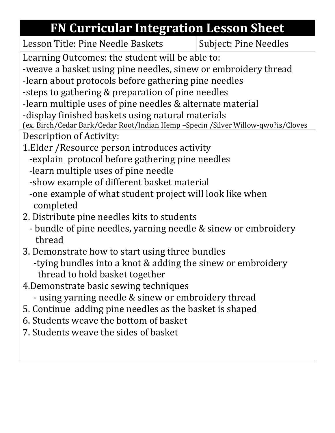## **FN Curricular Integration Lesson Sheet**

Lesson Title: Pine Needle Baskets | Subject: Pine Needles

Learning Outcomes: the student will be able to:

-weave a basket using pine needles, sinew or embroidery thread

-learn about protocols before gathering pine needles

-steps to gathering & preparation of pine needles

-learn multiple uses of pine needles & alternate material

-display finished baskets using natural materials

(ex. Birch/Cedar Bark/Cedar Root/Indian Hemp –Specin /Silver Willow-qwo?is/Cloves Description of Activity:

- 1.Elder /Resource person introduces activity
	- -explain protocol before gathering pine needles
	- -learn multiple uses of pine needle
	- -show example of different basket material
	- -one example of what student project will look like when completed
- 2. Distribute pine needles kits to students
	- bundle of pine needles, yarning needle & sinew or embroidery thread
- 3. Demonstrate how to start using three bundles -tying bundles into a knot & adding the sinew or embroidery thread to hold basket together
- 4.Demonstrate basic sewing techniques
	- using yarning needle & sinew or embroidery thread
- 5. Continue adding pine needles as the basket is shaped
- 6. Students weave the bottom of basket
- 7. Students weave the sides of basket